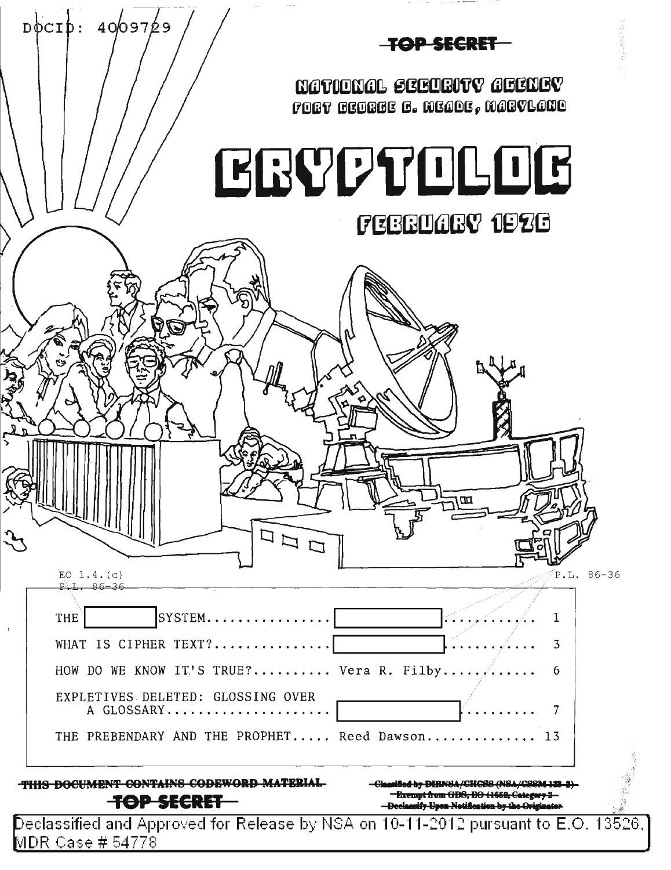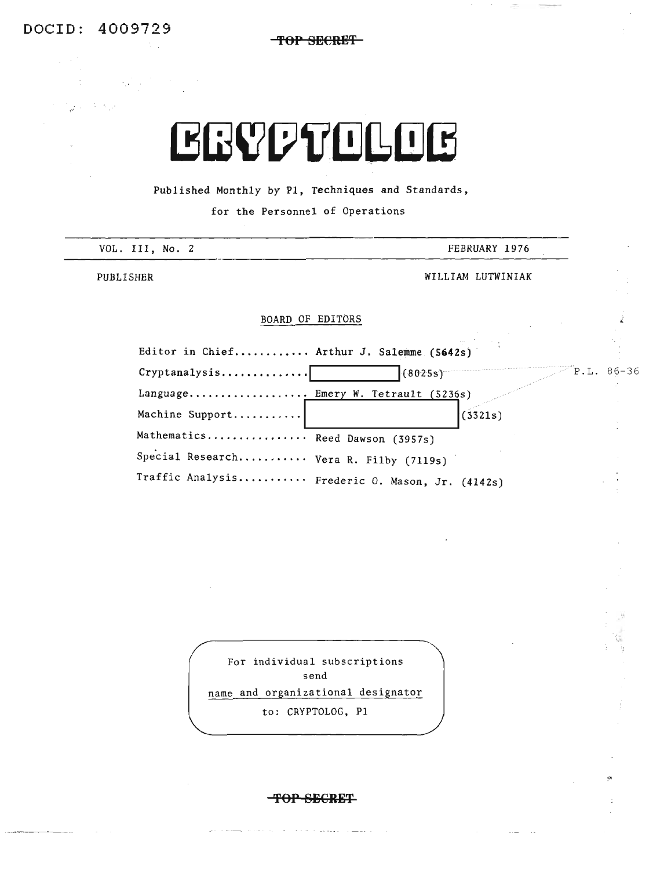DOCID: 4009729

الرفاف وي

 $\label{eq:2.1} \mathcal{L}(\mathcal{L}) = \mathcal{L}(\mathcal{L}) \mathcal{L}(\mathcal{L}) = \mathcal{L}(\mathcal{L}) \mathcal{L}(\mathcal{L})$ 

 $\sim 10^7$ 

**'fOP BECRE,+,**

# **EGYPTOLOG**

Published Monthly by PI, Techniques and Standards,

for the Personnel of Operations

| VOL. III, No. 2                                                                           | FEBRUARY 1976     |            |  |  |
|-------------------------------------------------------------------------------------------|-------------------|------------|--|--|
| PUBLISHER                                                                                 | WILLIAM LUTWINIAK |            |  |  |
| BOARD OF EDITORS                                                                          |                   |            |  |  |
| Editor in Chief Arthur J. Salemme (5642s)                                                 |                   |            |  |  |
| $Cryptanalysis$                                                                           | (8025s)           | P.L. 86-36 |  |  |
| Language Emery W. Tetrault (5236s)<br>Machine Support                                     | (3321s)           |            |  |  |
| Mathematics Reed Dawson (3957s)                                                           |                   |            |  |  |
| Special Research Vera R. Filby (7119s)<br>Traffic Analysis Frederic O. Mason, Jr. (4142s) |                   |            |  |  |

For individual subscriptions send name and organizational designator to: CRYPTOLOG, PI

**TOP SECRET** 

a series de la mais de la maria

 $\mathbf{a}$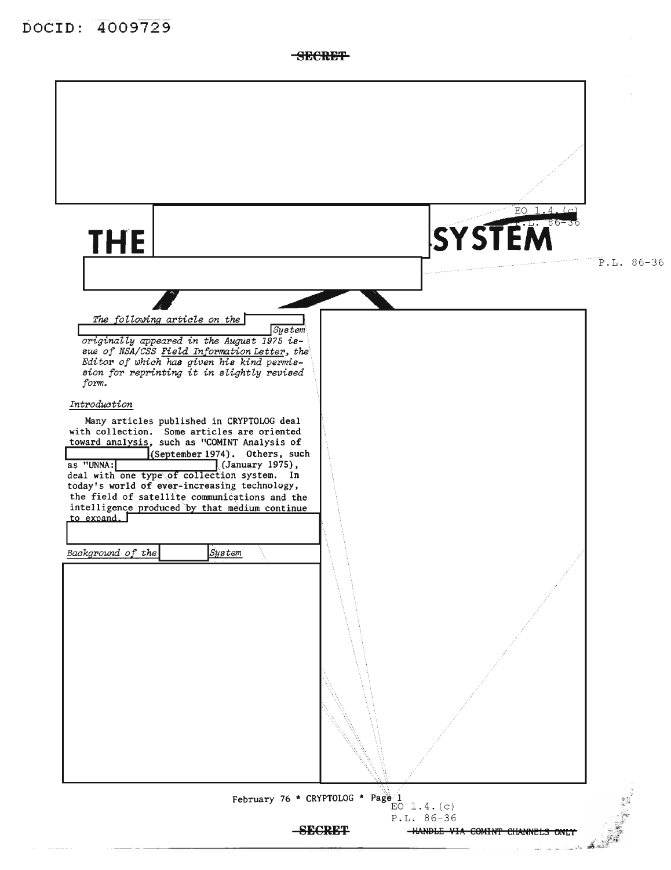**SECRET** 

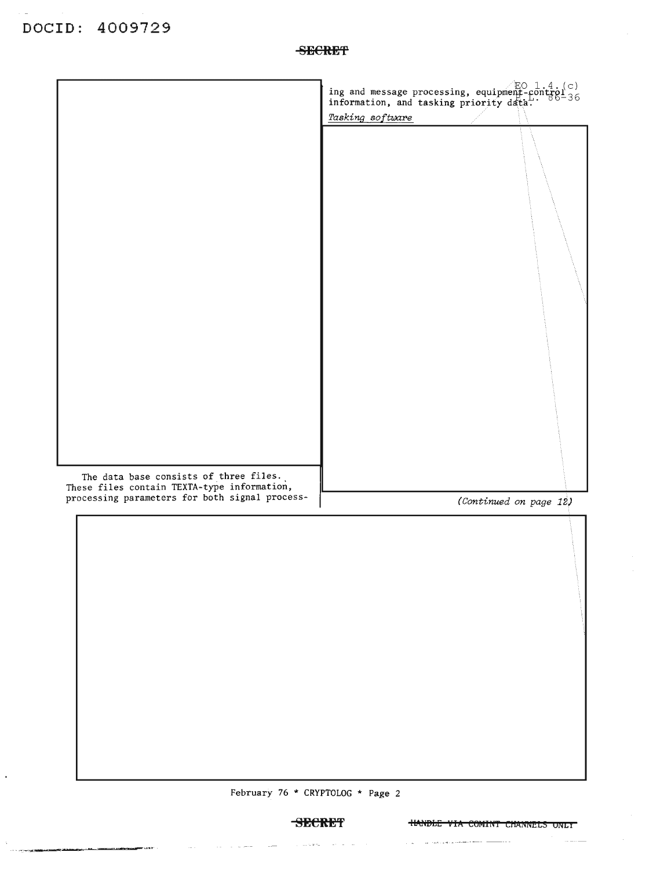$\epsilon$ 

.<br>In the community contribution of the contribution of the contribution of the contribution of the contribution of the contribution of the contribution of the contribution of the contribution of the contribution of the con

 $\sim$  14  $\sigma$ 

|                                                                                                                                         | ing and message processing, equipment-control c)<br>information, and tasking priority data. |
|-----------------------------------------------------------------------------------------------------------------------------------------|---------------------------------------------------------------------------------------------|
|                                                                                                                                         | Tasking software                                                                            |
|                                                                                                                                         |                                                                                             |
|                                                                                                                                         |                                                                                             |
| The data base consists of three files.<br>These files contain TEXTA-type information,<br>processing parameters for both signal process- |                                                                                             |
|                                                                                                                                         | (Continued on page 12)                                                                      |
|                                                                                                                                         |                                                                                             |
|                                                                                                                                         |                                                                                             |

February 76 \* CRYPTOLOG \* Page 2

 $\overline{\phantom{a}}$ 

 $\langle\,\cdot\,,\,\cdot\,\rangle$  ,  $\langle\,\cdot\,\rangle$  is  $\langle\,\cdot\,\cdot\,\rangle$ 

 $\hat{\mathcal{L}}_{\text{c}}$  and  $\hat{\mathbf{z}}$  is a set of  $\hat{\mathcal{L}}$  , and  $\hat{\mathcal{L}}_{\text{c}}$ 

 $\sim$   $\sim$ 

 $\hat{z}_1$  ,  $\hat{z}_2$  , and the contract constraint the components of the contract of  $\hat{z}_1$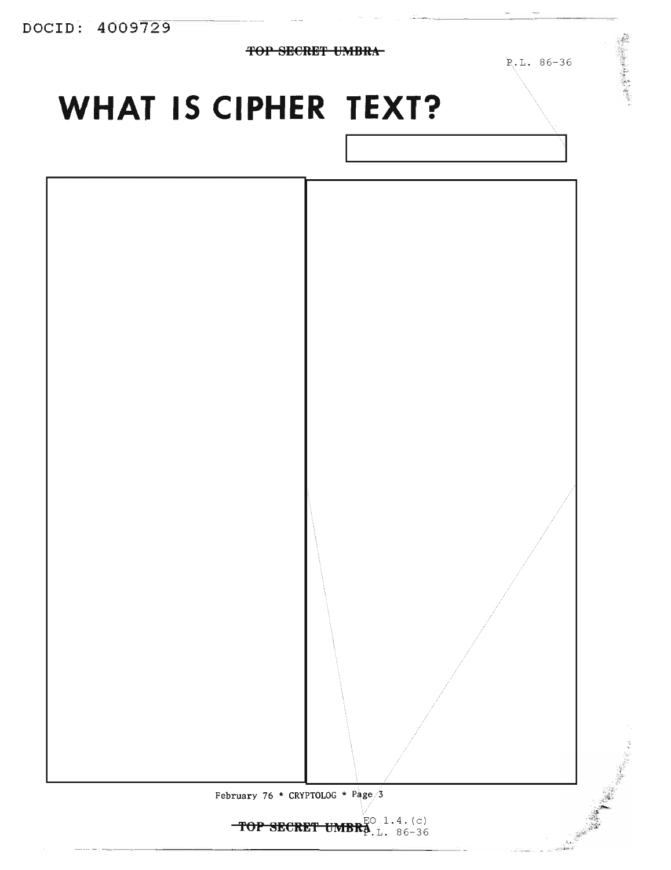DOCID: 4009729

 $\overline{TOP}$  SECRET UMBRA-

P.L. 86-36

一个 经产品的

## **WHAT IS CIPHER TEXT?**

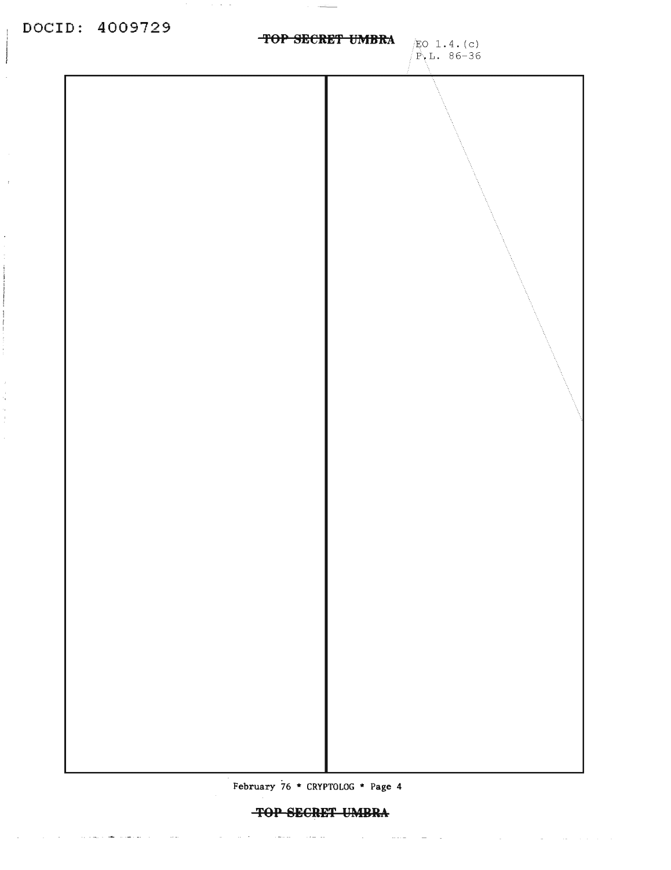$\mathbf{I}$ 

 $\cdot$ 

 $\bar{\bar{z}}$ 

 $\frac{1}{\epsilon_{\rm w}}$ 

 $\sim 10^{-11}$ 

**Contractor** 

والمتحدث والمستحقق والمستحدث والمستحدث

 $\sim 100$  km s  $^{-1}$ 

 $\sim 10^{-1}$ 

 $\Delta\omega$  ,  $\Delta\omega$ 

 $\alpha = 1000$ 

 $\beta$  ,  $\beta$  ,  $\beta$ 



February 76 \* CRYPTOLOG \* Page 4

 $\sim 100$ 

 $\sim$   $\sim$   $\sim$   $\sim$ 

 $\sim 10^{-11}$ 

 $\sim 10^{-1}$ 

 $\sim 10^{11}$  and  $\sim 10^{11}$ 

المواسدة

التفاعيل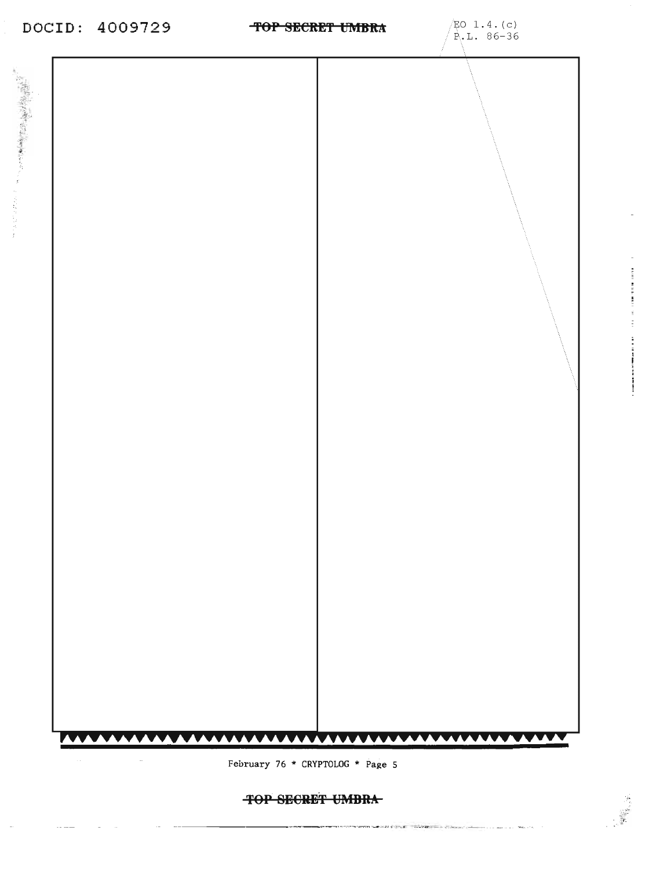### **TOP SECRET UMBRA**

المتعط بالمنا

February 76 \* CRYPTOLOG \* Page 5



İ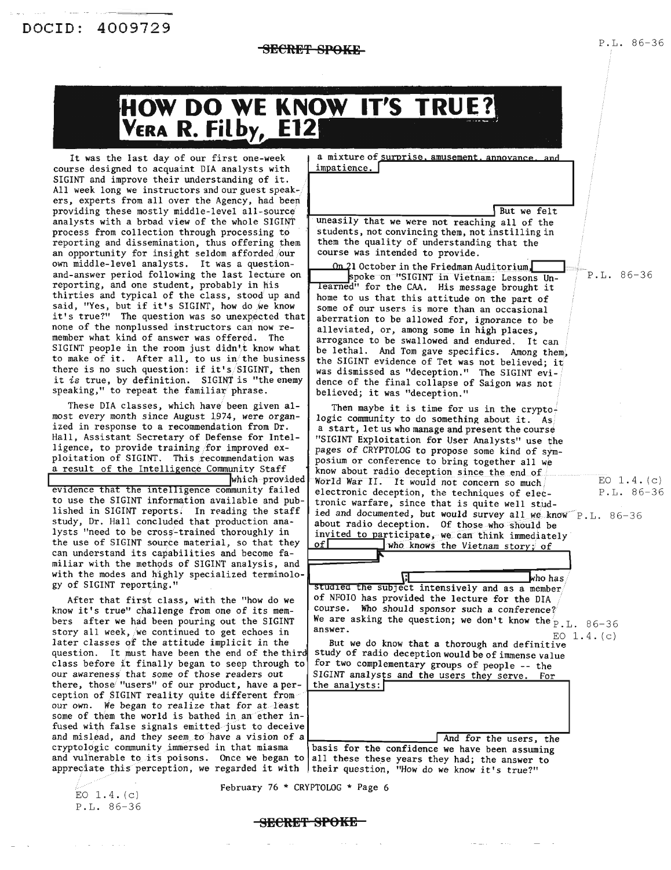$P.L. 86-36$ 

## **HOW DO WE KNOW IT'S TRUE?**<br>VERA R. Filby, E12

It was the last day of our first one-week course designed to acquaint DIA analysts with SIGINT and improve their understanding of it. All week long we instructors and our guest speakers, experts from all over the Agency, had been providing these mostly middle-level all-source analysts with a broad view of the whole SIGINT process from collection through processing to reporting and dissemination, thus offering them an opportunity for insight seldom afforded our own middle-level analysts. It was a questionand-answer period following the last lecture on reporting, and one student, probably in his thirties and typical of the class, stood up and said, "Yes, but if it's SIGINT, how do we know it's true?" The question was so unexpected that none of the nonplussed instructors can now remember what kind of answer was offered. The SIGINT people in the room just didn't know what to make of it. After all, to us in the business there is no such question: if it's/SIGINT, then it is true, by definition. SIGINT is "the enemy speaking," to repeat the familiar phrase.

These DIA classes, which have been given almost every month since August 1974, were organized in response to a recommendation from Dr. Hall, Assistant Secretary of Defense for Intelligence, to provide training for improved exploitation of SIGINT. This recommendation was a result of the Intelligence Community Staff

which provided

evidence that the intelligence community failed to use the SIGINT information available and published in SIGINT reports. In reading the staff study, Dr. Hall concluded that production analysts "need to be cross-trained thoroughly in the use of SIGINT source material, so that they can understand its capabilities and become familiar with the methods of SIGINT analysis, and with the modes and highly specialized terminology of SIGINT reporting."

After that first class, with the "how do we know it's true" challenge from one of its members after we had been pouring out the SIGINT story all week, we continued to get echoes in later classes of the attitude implicit in the question. It must have been the end of the third class before it finally began to seep through to our awareness that some of those readers out there, those "users" of our product, have a perception of SIGINT reality quite different from our own. We began to realize that for at least some of them the world is bathed in an ether infused with false signals emitted just to deceive and mislead, and they seem to have a vision of a cryptologic community immersed in that miasma and vulnerable to its poisons. Once we began to all these these years they had; the answer to

a mixture of surprise, amusement, annovance, and impatience.

But we felt uneasily that we were not reaching all of the students, not convincing them, not instilling in them the quality of understanding that the course was intended to provide.

On 21 October in the Friedman Auditorium, spoke on "SIGINT in Vietnam: Lessons Unlearned" for the CAA. His message brought it home to us that this attitude on the part of some of our users is more than an occasional aberration to be allowed for, ignorance to be alleviated, or, among some in high places. arrogance to be swallowed and endured. It can be lethal. And Tom gave specifics. Among them. the SIGINT evidence of Tet was not believed; it was dismissed as "deception." The SIGINT evidence of the final collapse of Saigon was not believed; it was "deception."

Then maybe it is time for us in the cryptologic community to do something about it. As a start, let us who manage and present the course "SIGINT Exploitation for User Analysts" use the pages of CRYPTOLOG to propose some kind of symposium or conference to bring together all we know about radio deception since the end of EO  $1.4. (c)$ World War II. It would not concern so much  $P.L. 86-36$ electronic deception, the techniques of electronic warfare, since that is quite well studied and documented, but would survey all we know P.L. 86-36 about radio deception. Of those who should be invited to participate, we can think immediately who knows the Vietnam story; of ofl

Æ who has studied the subject intensively and as a member of NFOIO has provided the lecture for the DIA course. Who should sponsor such a conference? We are asking the question; we don't know the  $P.L. 86-36$ answer. EO  $1.4. (c)$ 

But we do know that a thorough and definitive study of radio deception would be of immense value for two complementary groups of people -- the SIGINT analysts and the users they serve. For the analysts:

And for the users, the basis for the confidence we have been assuming appreciate this perception, we regarded it with their question, "How do we know it's true?"

EO  $1.4.$  (c) P.L. 86-36 February 76 \* CRYPTOLOG \* Page 6

**SECRET SPOKE**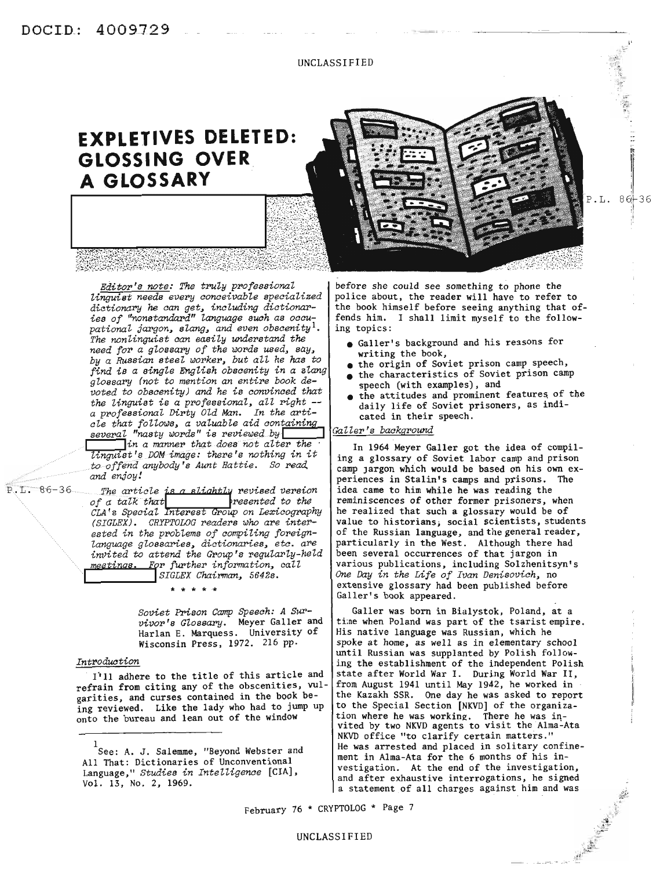UNCLASSIFIED

## **EXPLETIVES DELETED: GLOSSING OVER A GLOSSARY**

*Editor's note: The truly professional linguist needs every conceivable specialized dictionary he can get, including dictionaries of "nonstandard" language swh as occu- pational jargon, slang, and even obscenityl. The nonlinguist can easily understand the need for a glossary of the words used, say, by a Russian steel worker, but aU he has to find is a single English obscenity in a slang glossary (not to mention an entire book devoted to obscenity) and he is convinced that the linguist is <sup>a</sup> professional, all right* -- *<sup>a</sup> professional Dirty Old Man. In the arti-*

 $s$ everal "nasty words" is reviewed by <sup>I</sup> *lin <sup>a</sup> manner:thqtd08S not alter the . 'linguist'f} DOMimage: there's nothing in it to offend anybody's* Aunt *Hattie.* So read.<br>and enjoy!<br>The article is a slightly revised version<br>of a talk that *and enjoy!*

*cle that foZlows, a valuable aid containing*

P.L. 86-36 *of a talk that a slightly* revised version *of a talk that CLA* '*s Specialnteres oup on LeX1.-cography (SIGLEX). CRYFTOLOG readers who are interested in the problems of compiling foreignlanguage glossaries, dictionaries, etc. are invited to attend the Group's regularly-held meetings.* Frr *further information, call* **I** *SIGLEX Chairman, 5642s.*

\* \* \* \* .\*

*Soviet mson Camp Speech: A Survivor's Glossary.* Meyer Galler and Harlan E. Marquess. University of Wisconsin Press, 1972. 216 pp.

#### *Introdwtion*

1)11 adhere to the title of this article and refrain from citing any of the obscenities, vulgarities, and curses contained in the book being reviewed. Like the lady who had to jump up onto the bureau and lean out of the window

before she could see something to phone the police about, the reader will have to refer to the book himself before seeing anything that offends him. I shall limit myself to the following topics:

P.L.

I  $86 + 36$ 

- Galler's background and his reasons for writing the book,
- the origin of Soviet prison camp speech,
- the characteristics of Soviet prison camp speech (with examples), and
- the attitudes and prominent features of the daily life of Soviet prisoners, as indicated in their speech.

#### ~klller's *backgrOund*

In 1964 Meyer Galler got the idea of compiling a glossary of Soviet labor camp and prison camp Jargon which would be based on his own experiences in Stalin's camps and prisons. The idea came to him while he was reading the reminiscences of other former prisoners, when he realized that such a glossary would be of value to historians; social scientists, students of the Russian language, and the general reader, particularly in the West. Although there had been several occurrences of that jargon in various publications, including Solzhenitsyn's *One Day in the Life of Ivan Denisovich,* no extensive glossary had been published before Galler's book appeared.

Galler was born in Bialystok, Poland, at a time when Poland was part of the tsarist empire. His native language was Russian, which he spoke at home, as well as in elementary school until Russian was supplanted by Polish following the establishment of the independent Polish state after World War I. During World War II, from August 1941 until May 1942, he worked in the Kazakh SSR. One day he was asked to report to the Special Section [NKVD] of the organization where he was working. There he was invited by two NKVD agents to visit the Alma-Ata NKVD office "to clarify certain matters." He was arrested and placed in solitary confinement in Alma-Ata for the 6 months of his investigation. At the end of the investigation, and after exhaustive interrogations, he signed a statement of all charges against him and was

February 76 \* CRYPTOLOG \* Page 7

<sup>1</sup> See: A. J. Salemme, "Beyond Webster and All That: Dictionaries of Unconventional Language," *Studies in IntelZigence* [CIA], Vol. 13, No.2, 1969.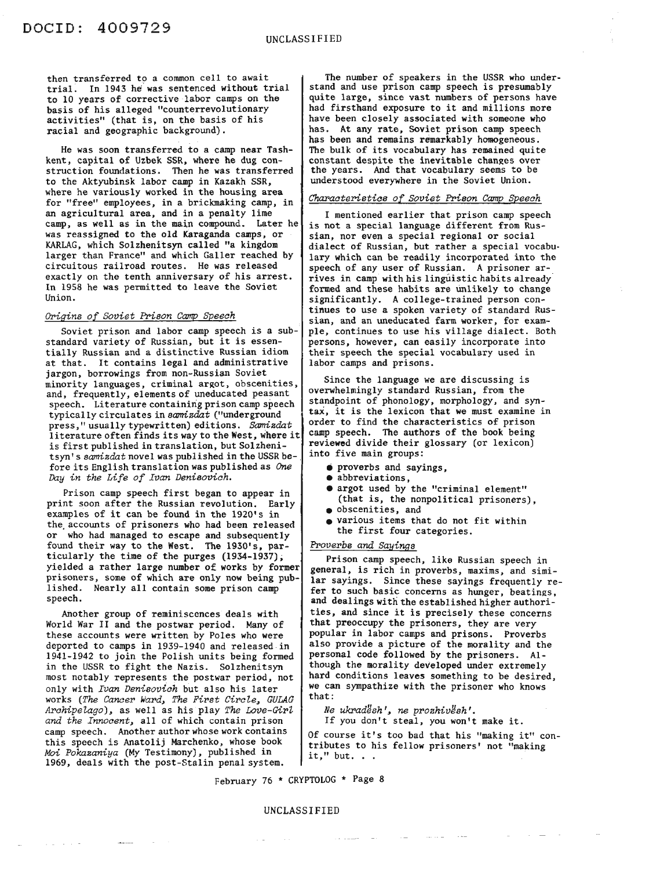then transferred to a common cell to await trial. In 1943 he'was sentenced without trial to 10 years of corrective labor camps on the basis of his alleged "counterrevolutionary activities" (that is, on the basis of his racial and geographic background).

He was soon transferred to a camp near Tashkent, capital of Uzbek SSR, where he dug construction foundations. Then he was transferred to the Aktyubinsk labor camp in Kazakh SSR, where he variously worked in the housing area for "free" employees, in a brickmaking camp, in an agricultural area, and in a penalty lime camp, as well as in the main compound. Later he was reassigned to the old Karaganda camps, or KARLAG, which Solzhenitsyn called "a kingdom larger than France" and which Galler reached by circuitous railroad routes. He was released exactly on the tenth anniversary of his arrest. In 1958 he was permitted to leave the Soviet Union.

#### *OTigins of Soviet Prison Camp Speech*

Soviet prison and labor camp speech is a substandard variety of Russian, but it is essentially Russian and a distinctive Russian idiom at that. It contains legal and administrative jargon, borrowings from non-Russian Soviet minority languages, criminal argot, obscenities, and, frequently, elements of uneducated peasant speech. Literature containing prison camp speech typically circulates in *samizdat* ("underground press," usually typewritten) editions. *Samizdat* literature often finds its way to the West, where it is first published in translation, but Solzhenitsyn's *samizdat* novel was published in the USSR be-fore its English translation was published as One *Day in the Life of Ivan Denisovich.*

Prison camp speech first began to appear in print soon after the Russian revolution. Early examples of it can be found in the 1920's in the. accounts of prisoners who had been released or who had managed to escape and subsequently found their way to the West. The 1930's, particularly the time of the purges (1934-1937); yielded a rather large number of works by former prisoners, some of which are only now being published. Nearly all contain some prison camp speech.

Another group of reminiscences deals with World War II and the postwar period. Many of these accounts were written by Poles who were deported to camps in 1939-1940 and released in 1941-1942 to join the Polish units being formed in the USSR to fight the Nazis. Solzhenitsyn most notably represents the postwar period, not only with *Ivan Denisovich* but also his later works *(The Cancer Ward. The* First *Circle. GULAG Arohipelago).* as well as his play *The Love-Girl and the Innocent.* all of which contain prison camp speech. Another author whose work contains this speech is Anatolij Marchenko, whose book *Moi Pokazaniya* (My Testimony), published in 1969, deals with the post-Stalin penal system.

The number of speakers in the USSR who understand and use prison camp speech is presumably quite large, since vast numbers of persons have had firsthand exposure to it and millions more have been closely associated with someone who has. At any rate, Soviet prison camp speech has been and remains remarkably homogeneous. The bulk of its vocabulary has remained quite constant despite the inevitable changes over the years. And that vocabulary seems to be understood everywhere in the Soviet Union.

#### *Charaoteristios of Soviet Prison Camp speeoh*

I mentioned earlier that prison camp speech is not a special language different from Russian, nor even a special regional or social dialect of Russian, but rather a special vocabulary which can be readily incorporated into the speech of any user of Russian. A prisoner arrives in camp with his linguistic habits already formed and these habits are unlikely to change significantly. A college-trained person continues to use a spoken variety of standard Russian, and an uneducated farm worker, for example, continues to use his village dialect. Both persons, however, can easily incorporate into their speech the special vocabulary used in labor camps and prisons.

Since the language we are discussing is overwhelmingly standard Russian, from the standpoint of phonology, morphology, and syntax, it is the lexicon that we must examine in order to find the characteristics of prison camp speech. The authors of the book being reviewed divide their glossary (or lexicon) into five main groups:

- proverbs and sayings, abbreviations,
- 
- argot used by the "criminal element" (that is, the nonpolitical prisoners),
- 
- obscenities, and various items that do not fit within the first four categories.

#### *Proverbs and Sayings*

Prison camp speech, like Russian speech in general, is rich in proverbs, maxims, and similar sayings. Since these sayings frequently refer to such basic concerns as hunger, beatings, and dealings with the established higher authorities, and since it is precisely these concerns that preoccupy the prisoners, they are very popUlar in labor camps and prisons. Proverbs also provide a picture of the morality and the personal code followed by the prisoners. Although the morality developed under extremely hard conditions leaves something to be desired, we can sympathize with the prisoner who knows that:

 $N$ *e* ukradesh', ne prozhivesh'. If you don't steal, you won't make it.

Of course it's too bad that his "making it" conof confect to s too bad that its making it correct tributes to his fellow prisoners' not "making"

February 76 \* CRYPTOLOG \* Page 8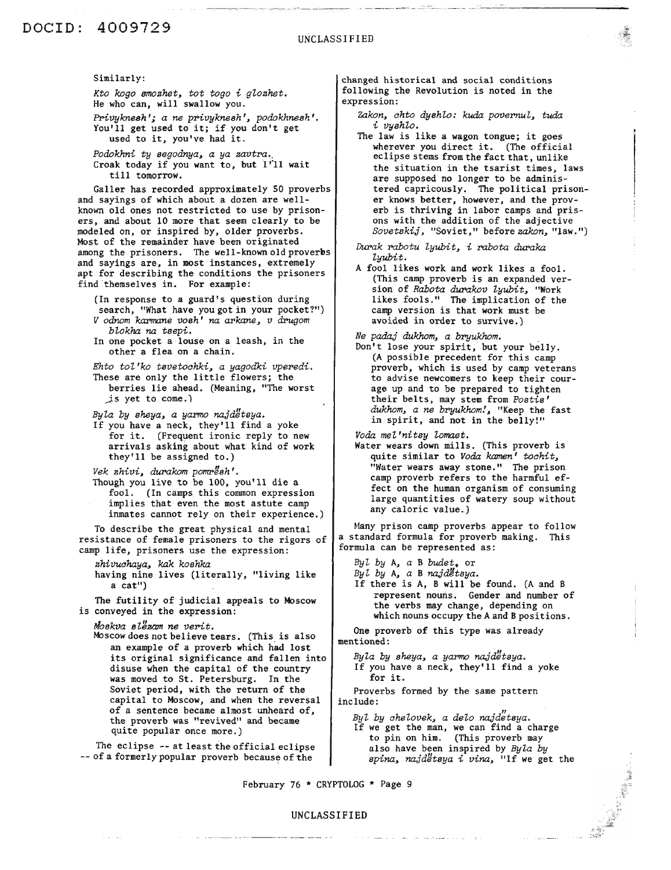### DOCID: 4009729

Similarly:

*Kto kogo smozhet, tot togo i glozhet.* He who can, will swallow you.

*Pl'ivyknesh'; a ne privyknesh', podokhnesh'.* You'll get used to it; if you don't get used to it, you've had it.

*Podokhni ty segodnya, a ya zavtra.,* Croak today if you want to, but I'll wait till tomorrow.

Galler has recorded approximately SO proverbs and sayings of which about a dozen are wellknown old ones not restricted to use by prisoners, and about 10 more that seem clearly to be modeled on, or inspired by, older proverbs. Most of the remainder have been originated among the prisoners. The well-known old proverbs and sayings are, in most instances, extremely apt for describing the conditions the prisoners find themselves in. For example:

(In response to a guard's question during search, "What have you got in your pocket?") *V odnom karmane vosh' na arkane, v drugom blokha na tsepi.*

In one pocket a louse on a leash, in the other a flea on a chain.

*Ehto tol'ko tsvetoahki, a yagodki vperedi.* These are only the little flowers; the berries lie ahead. (Meaning, "The worst  $js$  yet to come.)

*Byla by sheya, a yarmo najd:Itsya.*

If you have a neck, they'll find a yoke for it. (Frequent ironic reply to new arrivals asking about what kind of work they'll be assigned to.)

*Vek zhivi, durakom pomr/1sh'.* Though you live to be 100, you'll die a fool. (In camps this common expression implies that even the most astute camp inmates cannot rely on their experience.)

To describe the great physical and mental resistance of female prisoners to the rigors of camp life, prisoners use the expression:

*zhivuahaya, kak koshka* having nine lives (literally, "living like a cat")

The futility of judicial appeals to Moscow is conveyed in the expression:

*Moskva slllzam ne vent.*

Moscow does not believe tears. (This is also an example of a proverb which had lost its original significance and fallen into disuse when the capital of the country was moved to St. Petersburg. In the Soviet period, with the return of the capital to Moscow, and when the reversal of a sentence became almost unheard of, the proverb was "revived" and became quite popular once more.)

The eclipse  $-$ - at least the official eclipse  $-$ - of a formerly popular proverb because of the

changed historical and social conditions following the Revolution is noted in the expression:

*zakon, ahto dyshlo: kuda povernul, tuda i vyshlo.*

The law is like <sup>a</sup> wagon tongue; it goes wherever you direct it. (The official eclipse stems from the fact that, unlike the situation in the tsarist times, laws are supposed no longer to be administered capricously. The political prisoner knows better, however, and the proverb is thriving in labor camps and prisons with the addition of the adjective *Sovetskij,* "Soviet," before *zakon,* "law.")

*Durak rabotu lyubit, i rabota duraka lyubit.*

A fool likes work and work likes a fool. (This camp proverb is an expanded version of *Rabota durakov lyubit,* "Work likes fools." The implication of the camp version is that work must be avoided in order to survive.)

*Ne padaj dukhom, a bryukhom.*

Don't lose your spirit, but your belly. (A possible precedent for this camp proverb, which is used by camp veterans to advise newcomers to keep their courage up and to be prepared to tighten their belts, may stem from *Postis' dukhom, a ne bryukhom!,* "Keep the fast in spirit, and not in the belly!"

*Voda mel 'nitsy lomaet.*

Water wears down mills. (This proverb is quite similar to *Voda kamen' toahit,* "Water wears away stone." The prison camp proverb refers to the harmful effect on the human organism of consuming large quantities of watery soup without any caloric value.)

Many prison camp proverbs appear to follow a standard formula for proverb making. This formula can be represented as:

*Byl by* A, *a* B *budet.* or

*Byl by* A, *a* B *najdlltsya.*

If there is A, B will be found. (A and B represent nouns. Gender and number of the verbs may change, depending on which nouns occupy the A and B positions.

One proverb of this type was already mentioned:

*Byla by sheya, a yarmo najd:Itsya.* If you have a neck, they'll find a yoke for it.

Proverbs formed by the same pattern include:

*Byl by ahelovek, a delo na;]'d"etsya.* If we get the man, we can find a charge to pin on him. (This proverb may also have been inspired by *Byla by spina, najdlltsya i vina,* "If we get the

February 76 \* CRYPTOLOG \* Page 9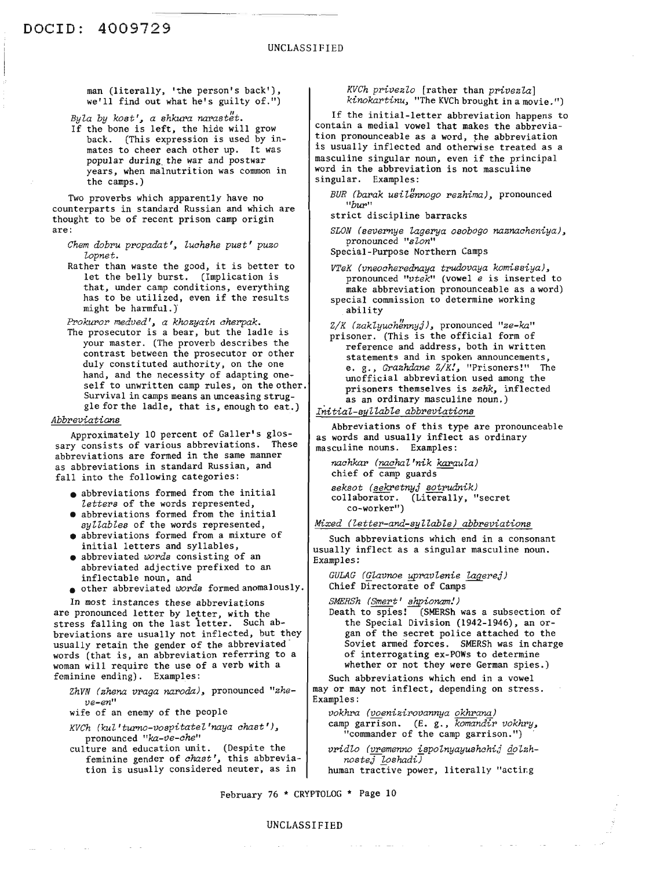man (literally, 'the person's back'), we'll find out what he's guilty of.")

*Byla by kost', a shkura narastët.* 

If the bone is left, the hide will grow back. (This expression is used by inmates to cheer each other up. It was popular during, the war and postwar years, when malnutrition was common in the camps.)

Two proverbs which apparently have no counterparts in standard Russian and which are thought to be of recent prison camp origin are:

*Chem dobru propadat', Zuahshe pust' puzo Zopnet.*

Rather than waste the good, it is better to let the belly burst. (Implication is that, under camp conditions, everything has to be utilized, even if the results might be harmful.)

*FPokuror medved', a khozyain aherpak.*

The prosecutor is a bear, but the ladle is your master. (The proverb describes the contrast between the prosecutor or other duly constituted authority, on the one hand, and the necessity of adapting oneself to unwritten camp rules, on the other. Survival in camps means an unceasing struggle for the ladle, that is, enough to eat.)

#### *Abbreviations*

Approximately 10 percent of Galler's glossary consists of various abbreviations. These abbreviations are formed in the same manner as abbreviations in standard Russian, and fall into the following categories:

- abbreviations formed from the initial *Zetters* of the words represented,
- abbreviations formed from the initial *syllabZes* of the words represented,
- abbreviations formed from a mixture of initial letters and syllables,
- abbreviated *words* consisting of an abbreviated adjective prefixed to an inflectable noun, and
- other abbreviated *words* formed anomalously.

In most instances these abbreviations are pronounced letter by letter, with the stress falling on the last ietter. Such abbreviations are usually not inflected, but they usually retain the gender of the abbreviated words (that is, an abbreviation referring to a woman will require the use of a verb with a feminine ending). Examples:

*ZhVN (zhena vraga naroda),* pronounced *"zheve-en"*

wife of an enemy of the people

- *KVCh (kuZ'turno-vospitatel'naya ahast'),* pronounced *"ka-ve-ahe"*
- culture and education unit. (Despite the feminine gender of *chast'*, this abbreviation is usually considered neuter, as in

*KVCh privezZo* [rather than *privezla] kinokartinu*, "The KVCh brought in a movie.")

If the initial-letter abbreviation happens to contain a medial vowel that makes the abbreviation pronounceable as a word, the abbreviation is usually inflected and otherwise treated as a masculine singular noun, even if the principal word in the abbreviation is not masculine singular. Examples:

- *BUR (barak usilf;nnogo rezhima),* pronounced *"bur"*
- strict discipline barracks
- *SLON (severnye Uxgerya osobogo naznaaheniya),* pronounced *"sZon"*
- Special-Purpose Northern Camps

*VTeK (vneoaherednaya trudovaya komissiya),* pronounced *"vtek"* (vowel *e* is inserted to make abbreviation pronounceable as a word)

special commission to determine working ability

*Z/K (zakZyuah:Innyj),* pronounced *"ze-ka"* prisoner. (This is the official form of reference and address, both in written statements and in spoken announcements, e. g., *Grazhdane Z/K!,* "Prisoners!" The unofficial abbreviation used among the prisoners themselves is zehk, inflected as an ordinary masculine noun.)

*Initial-syllable abbreviations*

Abbreviations of this type are pronounceable as words and usually inflect as ordinary masculine nouns. Examples:

*naahkar (naahal 'nik karauZa)* chief of camp guards *seksot (sekretnyj sotrudnik)* collaborator. (Literally, "secret co-worker")

*Mixed (Zetter-and-syZlable) abbpeviations*

Such abbreviations which end in a consonant usually inflect as a singular masculine noun. Examples:

*GULAG (QUxvnoe ypravlenie Uxgerej)* Chief Directorate of Camps

*SMERSh (Smert' !!J:!pionam!)*

Death to spies! (SMERSh was a subsection of the Special Division (1942-1946), an or- gan of the secret police attached to the Soviet armed forces. SMERSh was in charge of interrogating ex-POWs to determine whether or not they were German spies.)

Such abbreviations which end in a vowel mayor may not inflect, depending on stress. Examples:

*vokhra (voenizirovannya* okhran~) camp garrison. (E. g., *komandir vokhry*, "commander of the camp garrison.")

*vPidZo (vremenno ispolnyayushahij* ~olzh*nostej loshadi)*

human tractive power, literally "acting

February 76 \* CRYPTOLOG \* Page 10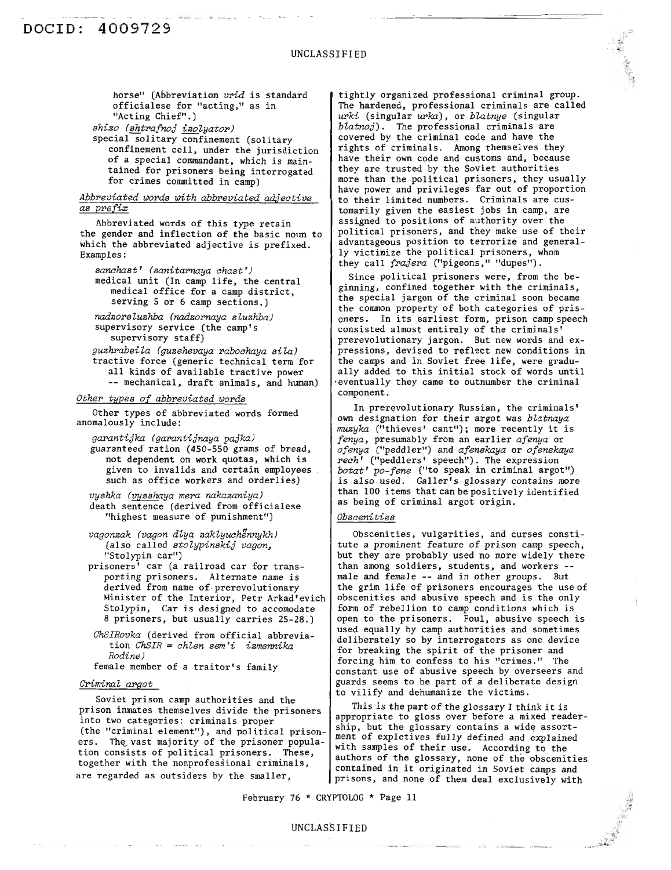horse" (Abbreviation *vrid* is standard officialese for "acting," as in "Acting Chief".) *shizo (sht:roafrzoj izoZyator')* special solitary confinement (solitary

confinement cell, under the jurisdiction of a special commandant, which is maintained for prisoners being interrogated for crimes committed in camp)

#### *Abbpeviated wopds with abbpeviated adjective as ppefix*

hbbreviated words of this type retain the gender and inflection of the basic noun to which the abbreviated adjective is prefixed. Examples:

 $sanchast'$  *(sanitarnaya chast')* medical unit (In camp life, the central medical office for a camp district, serving 5 or 6 camp sections.)

*nadzopsZuzhba (nadzoPnaya sZuzhba)* supervisory service (the camp's supervisory staff)

*guzhPabsiZa (guzehevaya pabochaya sila)* tractive force (generic technical term for all kinds of available tractive power -- mechanical, draft animals, and human)

#### *Othep types of abbpeviated wopds*

Other types of abbreviated words formed anomalously include:

*gar>antijka (gapantijnaya pajka)* guaranteed ration (450-550 grams of bread, not dependent on work quotas, which is given to invalids and certain employees such as office workers and orderlies)

*vyshka (vysshaya mepa nakazaniya)* death sentence (derived from officialese "highest measure of punishment")

*vagonzak (vagon dZya zakZyuch9nnykhJ* (also *called stoZypinskij vagon,* "Stolypin car")

prisoners' car (a railroad car for transporting prisoners. Alternate name is derived from name of prerevolutionary Minister of the Interior, Petr Arkad'evich Stolypin, Car is designed to accomodate 8 prisoners, but usually carries 25-28.)

*ChSIRovka* (derived from official abbreviation *ChSIR* = *chlen sem'i izmennika Rodine)*

female member of a traitor's family

#### *CpiminaZ ar>got*

Soviet prison camp authorities and the prison inmates themselves divide the prisoners into two categories: criminals proper (the "criminal element"), and political prisoners. The vast majority of the prisoner population consists of political prisoners. These, together with the nonprofessional criminals, are regarded as outsiders by the smaller,

tightly organized professional criminal group. The hardened, professional criminals are called *upki* (singular *UPka),* or *bZatnye* (singular blatnoj). The professional criminals are covered by the criminal code and have the rights of criminals. Among themselves they have their own code and customs and, because<br>they are trusted by the Soviet authorities more than the political prisoners, they usually have power and privileges far *out* of proportion to their limited numbers. Criminals are cus- tomarily given the easiest jobs in camp, are assigned to positions of authority over the political prisoners, and they make use of their advantageous position to terrorize and generally victimize the political prisoners, whom they call *fpajepa* ("pigeons," "dupes").

Since political prisoners were, from the beginning, confined together with the criminals, the special jargon of the criminal soon became the common property of both categories of prisoners. In its earliest form, prison camp speech consisted almost entirely of the criminals' prerevolutionary jargon. But new words and expressions, devised to reflect new conditions in the camps and in Soviet free life, were gradually added to this initial stock of words until -eventually they came to outnumber the criminal component.

In prerevolutionary Russian, the criminals' own designation for their argot was *blatnaya muzyka* ("thieves' cant"); more recently it is *fenya,* presumably from an earlier *afenya* or *rech'* ("peddlers' speech"). The expression *botat' po-fene* ("to speak in criminal argot") is also used. Galler's glossary contains more than <sup>100</sup> items that can be positively identified as being of criminal argot origin.

#### *Obscenities*

Obscenities, vulgarities, and curses constitute a prominent feature of prison camp speech, but they are probably used no more widely there than among soldiers, students, and workers - male and female -- and in other groups. But the grim life of prisoners encourages the use of obscenities and abusive speech and is the only form of rebellion to camp conditions which is open to the prisoners. Foul, abusive speech is used equally by camp authorities and sometimes deliberately so by interrogators as onc device for breaking the spirit of the prisoner and forcing him to confess to his "crimes." The constant use of abusive speech by overseers and guards seems to be part of a deliberate design to vilify and dehumanize the victims.

This is the part of the glossary <sup>I</sup> think it is appropriate to gloss over before a mixed readership, but the glossary contains a wide assortment of expletives fully defined and explained with samples of their use. According to the authors of the glossary, none of the obscenities contained in it originated in Soviet camps and prisons, and none of them deal exclusively with

February 76 \* CRYPTOLOG \* Page **11**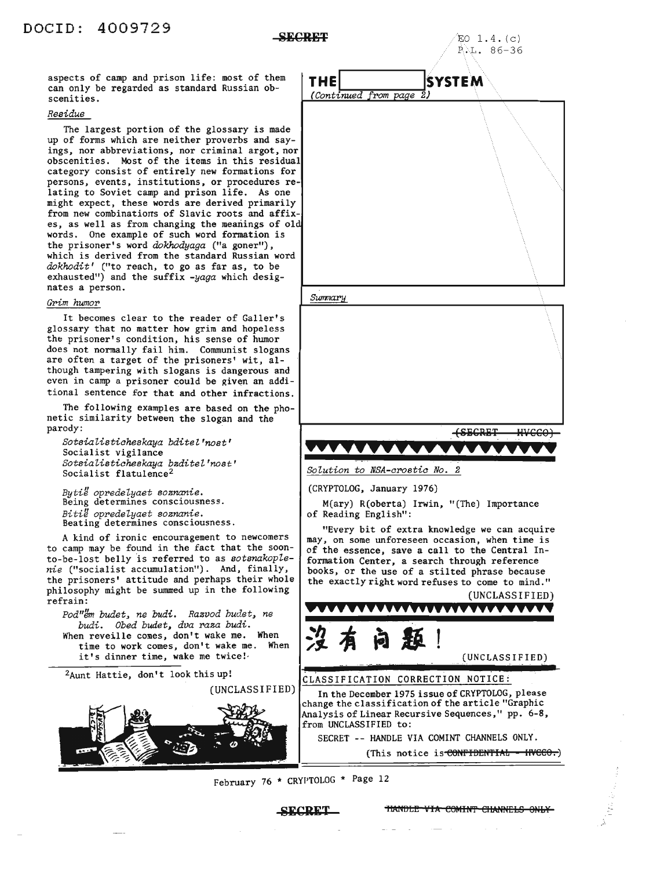aspects of camp and prison life: most of them can only be regarded as standard Russian obscenities.

#### *Residue*

The largest portion of the glossary is made up of forms which are neither proverbs and sayings, nor abbreviations, nor criminal argot, nor obscenities. Most of the items in this residual category consist of entirely new formations for persons, events, institutions, or procedures relating to Soviet camp and prison life. As one might expect, these words are derived primarily from new combinations of Slavic roots and affixes, as well as from changing the meanings of 01 words. One example of such word formation is the prisoner's word *dokhodyaga* ("a goner"), which is derived from the standard Russian word dokhodit' ("to reach, to go as far as, to be exhausted") and the suffix *-yaga* which designates a person.

#### *Gl'im humor*

It becomes clear to the reader of Galler's glossary that no matter how grim and hopeless the prisoner's condition, his sense of humor does not normally fail him. Communist slogans are often a target of the prisoners' wit, although tampering with slogans is dangerous and even in camp a prisoner could be given an additional sentence for that and other infractions.

The following examples are based on the phonetic similarity between the slogan and the parody: .

*SotsiaZistiaheskaya bditeZ'nost'* Socialist vigilance *SotsiaZistiaheskaya baditeZ'nost'* Socialist flatulence<sup>2</sup>

*BytiU opredeZyaet soananie.* Being determines consciousness. *BitiU opredeZyaet soananie.* Beating determines consciousness.

A kind of ironic encouragement to newcomers to camp may be found in the fact that the soonto-be-lost belly is referred to as *sotsnakoplenie* ("socialist accumulation"). And, finally, the prisoners' attitude and perhaps their whole philosophy might be summed up in the following refrain:

*Pod"/Jrn budet, ne budi. Raavod budet, ne budi. Obed budet, dva raaa budi.* When reveille comes, don't wake me. When time to work comes, don't wake me. When it's dinner time, wake me twice!

2Aunt Hattie, don't look this up!

(UNCLASSIFIED)



February 76 \* CRYI'TOLOG \* Page 12



"Every bit of extra knowledge we can acquire may, on some unforeseen occasion, when time is of the essence, save a call to the Central Information Center, a search through reference books, or the use of a stilted phrase because the exactly right word refuses to come to mind."



CLASSIFICATION CORRECTION NOTICE:

In the December 1975 issue of CRYPTOLOG, please change the classification of the article "Graphic Analysis of Linear Recursive Sequences," pp. 6-8, from UNCLASSIFIED to:

SECRET -- HANDLE VIA COMINT CHANNELS ONLY.

(This notice is CONFIDENTIAL - INCCO.)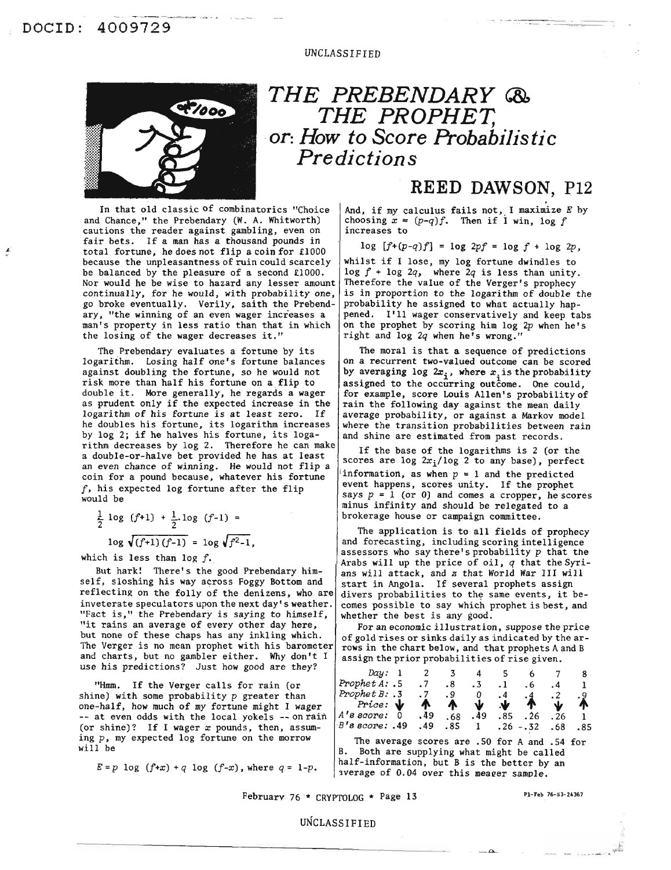

## *THE PREBENDARY* **®,** *THE PROPHET, or: How to Score Probabilistic Predictions*

In that old classic of combinatorics "Choice and Chance," the Prebendary (W. A. Whitworth) cautions the reader against gambling, even on fair bets. If a man has a thousand pounds in total fortune, he does not flip a coin for £1000 because the unpleasantness of ruin could scarcely be balanced by the pleasure of a second £1000. Nor would he be wise to hazard any lesser amount continually, for he would, with probability one, go broke eventually. Verily, saith the Prebendary, "the winning of an even wager increases a man's property in less ratio than that in which the losing of the wager decreases it."

The Prebendary evaluates a fortune by its logarithm. Losing half one's fortune balances against doubling the fortune, so he would not risk more than half his fortune on a flip to double it. More generally, he regards a wager as prudent only if the expected increase in the logarithm of his fortune is at least zero. If he doubles his fortune, its logarithm increases by log 2; if he halves his fortune, its logarithm decreases by log 2. Therefore he can make a double-or-halve bet provided he has at least an even chance of winning. He would not flip a coin for a pound because, whatever his fortune f, his expected log fortune after the flip would be

$$
\frac{1}{2} \log (f+1) + \frac{1}{2} \log (f-1) =
$$
  

$$
\log \sqrt{(f+1)(f-1)} = \log \sqrt{f^2-1},
$$

which is less than log *f.*

But hark! There's the good Prebendary himself, sloshing his way across Foggy Bottom and reflecting on the folly of the denizens, who are inveterate speculators upon the next day's weather. "Fact is," the Prebendary is saying to himself, "it rains an average of every other day here, but none of these chaps has any inkling which. The Verger is no mean prophet with his barometer and charts, but no gambler either. Why don't I use his predictions? Just how good are they?

"Hmm. If the Verger calls for rain (or shine) with some probability  $p$  greater than one-half, how much of my fortune might I wager -- at even odds with the local yokels -- on rain (or shine)? If I wager  $x$  pounds, then, assuming  $p$ , my expected log fortune on the morrow will be

## **REED DAWSON, P12**

And, if my calculus fails not, I maximize E by choosing  $x = (p-q)f$ . Then if I win, log  $f$ increases to

$$
log [f+(p-q)f] = log 2pf = log f + log 2p,
$$

whilst if <sup>I</sup> lose, my log fortune dwindles to log *f* <sup>+</sup> log *2q,* where *2q* is less than unity. Therefore the value of the Verger's prophecy is in proportion to the logarithm of double the probability he assigned to what actually happened. I'll wager conservatively and keep tabs on the prophet by scoring him log 2p when he's right and log *2q* when he's wrong."

The moral is that a sequence of predictions on a recurrent two-valued outcome can be scored by averaging log  $2x_i$ , where  $x_i$  is the probability assigned to the occurring outcome. One could, for example, score Louis Allen's probability of rain the following day against the mean daily average probability, or against a Markov model where the transition probabilities between rain and shine are estimated from past records.

If the base of the logarithms is 2 (or the scores are log  $2x_i/\log 2$  to any base), perfect information, as when  $p = 1$  and the predicted event happens, scores unity. If the prophet says  $p = 1$  (or 0) and comes a cropper, he scores minus infinity and should be relegated to a brokerage house or campaign committee.

The application is to all fields of prophecy and forecasting, including scoring intelligence assessors who say there's probability  $p$  that the Arabs will up the price of oil, *q* that the Syrians will attack, and *z* that World War III will start in Angola. If several prophets assign divers probabilities to the same events, it becomes possible to say which prophet is best, and whether the best is any good.

For an economic illustration, suppose the price of gold rises or sinks daily as indicated by the arrows in the chart below, and that prophets Aand B assign the prior probabilities of rise given.

| Day: 1                 |           |              | - 4    |     |              |              |     |
|------------------------|-----------|--------------|--------|-----|--------------|--------------|-----|
| Prophet $A: .5$        |           | ۰8           | $.3 -$ |     | $\cdot$ 6    | . 4          |     |
| Prophet $B: .3$        | $\cdot$ 7 | .9           |        | 4   | - 4          |              |     |
| Price: $\mathbf{\Psi}$ | Λ.        | $\mathbf{A}$ | w.     | N.  | $\mathbf{T}$ | <b>J</b>     |     |
| $A$ 's score:          | .49       | . 68         | .49    | .85 | .26          | $\cdot$ . 26 |     |
| B's score: .49         | .49       |              | .85 1  |     | $.26 - .32$  | .68          | .85 |

The average scores are .50 for A and .54 for B. Both are supplying what might be called half-information, but B is the better by an  $E = p \log (f+x) + q \log (f-x)$ , where  $q = 1-p$ .  $\begin{cases} \text{matrix-interactions, out 5 is the better by} \\ \text{average of 0.04 over this meager sample.} \end{cases}$ 

February  $76 * \text{ CRYPTOLOG} * \text{Page 13}$  Pl-Feb  $76-53-24367$